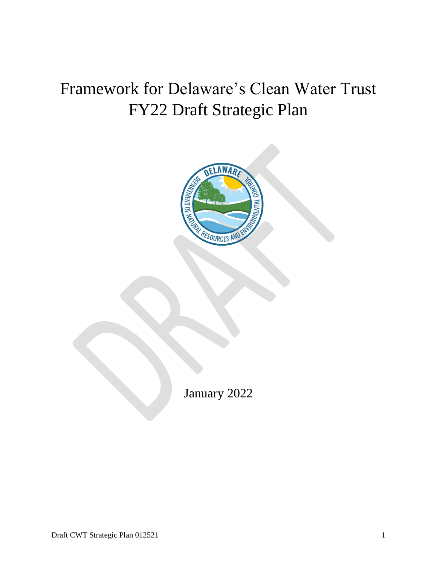# Framework for Delaware's Clean Water Trust FY22 Draft Strategic Plan



January 2022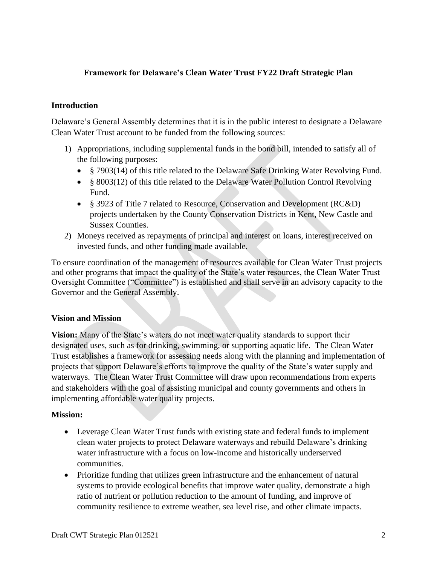# **Framework for Delaware's Clean Water Trust FY22 Draft Strategic Plan**

#### **Introduction**

Delaware's General Assembly determines that it is in the public interest to designate a Delaware Clean Water Trust account to be funded from the following sources:

- 1) Appropriations, including supplemental funds in the bond bill, intended to satisfy all of the following purposes:
	- § 7903(14) of this title related to the Delaware Safe Drinking Water Revolving Fund.
	- § 8003(12) of this title related to the Delaware Water Pollution Control Revolving Fund.
	- § 3923 of Title 7 related to Resource, Conservation and Development (RC&D) projects undertaken by the County Conservation Districts in Kent, New Castle and Sussex Counties.
- 2) Moneys received as repayments of principal and interest on loans, interest received on invested funds, and other funding made available.

To ensure coordination of the management of resources available for Clean Water Trust projects and other programs that impact the quality of the State's water resources, the Clean Water Trust Oversight Committee ("Committee") is established and shall serve in an advisory capacity to the Governor and the General Assembly.

#### **Vision and Mission**

**Vision:** Many of the State's waters do not meet water quality standards to support their designated uses, such as for drinking, swimming, or supporting aquatic life. The Clean Water Trust establishes a framework for assessing needs along with the planning and implementation of projects that support Delaware's efforts to improve the quality of the State's water supply and waterways. The Clean Water Trust Committee will draw upon recommendations from experts and stakeholders with the goal of assisting municipal and county governments and others in implementing affordable water quality projects.

#### **Mission:**

- Leverage Clean Water Trust funds with existing state and federal funds to implement clean water projects to protect Delaware waterways and rebuild Delaware's drinking water infrastructure with a focus on low-income and historically underserved communities.
- Prioritize funding that utilizes green infrastructure and the enhancement of natural systems to provide ecological benefits that improve water quality, demonstrate a high ratio of nutrient or pollution reduction to the amount of funding, and improve of community resilience to extreme weather, sea level rise, and other climate impacts.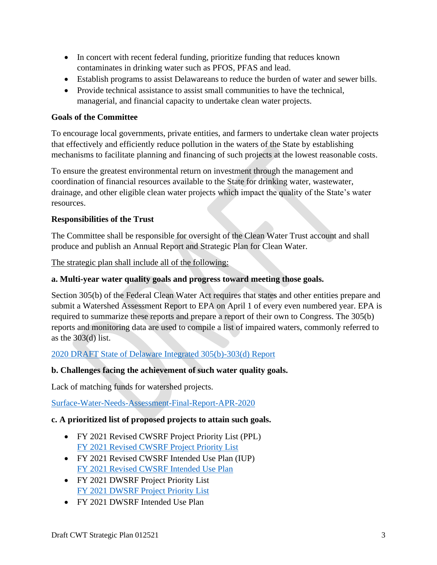- In concert with recent federal funding, prioritize funding that reduces known contaminates in drinking water such as PFOS, PFAS and lead.
- Establish programs to assist Delawareans to reduce the burden of water and sewer bills.
- Provide technical assistance to assist small communities to have the technical, managerial, and financial capacity to undertake clean water projects.

## **Goals of the Committee**

To encourage local governments, private entities, and farmers to undertake clean water projects that effectively and efficiently reduce pollution in the waters of the State by establishing mechanisms to facilitate planning and financing of such projects at the lowest reasonable costs.

To ensure the greatest environmental return on investment through the management and coordination of financial resources available to the State for drinking water, wastewater, drainage, and other eligible clean water projects which impact the quality of the State's water resources.

## **Responsibilities of the Trust**

The Committee shall be responsible for oversight of the Clean Water Trust account and shall produce and publish an Annual Report and Strategic Plan for Clean Water.

The strategic plan shall include all of the following:

#### **a. Multi-year water quality goals and progress toward meeting those goals.**

Section 305(b) of the Federal Clean Water Act requires that states and other entities prepare and submit a Watershed Assessment Report to EPA on April 1 of every even numbered year. EPA is required to summarize these reports and prepare a report of their own to Congress. The 305(b) reports and monitoring data are used to compile a list of impaired waters, commonly referred to as the  $303(d)$  list.

[2020 DRAFT State of Delaware Integrated 305\(b\)-303\(d\) Report](https://documents.dnrec.delaware.gov/swc/wa/Documents/2020%20Draft%20Delaware%20IR%20with%20appendices.pdf)

## **b. Challenges facing the achievement of such water quality goals.**

Lack of matching funds for watershed projects.

[Surface-Water-Needs-Assessment-Final-Report-APR-2020](https://documents.dnrec.delaware.gov/fab/Documents/Surface-Water-Needs-Assessment-Final-Report-APR-2020.pdf)

## **c. A prioritized list of proposed projects to attain such goals.**

- FY 2021 Revised CWSRF Project Priority List (PPL) [FY 2021 Revised CWSRF Project Priority List](https://documents.dnrec.delaware.gov/fab/Documents/Intended%20Use%20Plan%20and%20Project%20Priority%20List/2021-CWSRF-Project-Priority-List-2nd-solicitation.pdf)
- FY 2021 Revised CWSRF Intended Use Plan (IUP) [FY 2021 Revised CWSRF Intended Use Plan](https://documents.dnrec.delaware.gov/fab/Documents/Intended%20Use%20Plan%20and%20Project%20Priority%20List/2021-CWSRF-Intended-Use-Plan-2nd-solicitation.pdf)
- FY 2021 DWSRF Project Priority List [FY 2021 DWSRF Project Priority List](https://www.dhss.delaware.gov/dhss/dph/hsp/files/dwsrfppl2021.pdf)
- FY 2021 DWSRF Intended Use Plan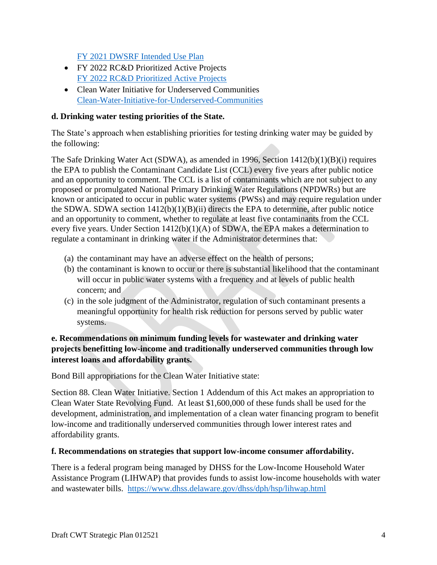[FY 2021 DWSRF Intended Use Plan](https://dhss.delaware.gov/dhss/dph/hsp/files/dwsrfiup2021.pdf) 

- FY 2022 RC&D Prioritized Active Projects [FY 2022 RC&D Prioritized Active Projects](https://documents.dnrec.delaware.gov/fab/Combined-FY22-RCD-List.pdf)
- Clean Water Initiative for Underserved Communities [Clean-Water-Initiative-for-Underserved-Communities](https://documents.dnrec.delaware.gov/fab/Documents/Clean-Water-Initiative-for-Underserved-Communities.pdf)

# **d. Drinking water testing priorities of the State.**

The State's approach when establishing priorities for testing drinking water may be guided by the following:

The Safe Drinking Water Act (SDWA), as amended in 1996, Section  $1412(b)(1)(B)(i)$  requires the EPA to publish the Contaminant Candidate List (CCL) every five years after public notice and an opportunity to comment. The CCL is a list of contaminants which are not subject to any proposed or promulgated National Primary Drinking Water Regulations (NPDWRs) but are known or anticipated to occur in public water systems (PWSs) and may require regulation under the SDWA. SDWA section 1412(b)(1)(B)(ii) directs the EPA to determine, after public notice and an opportunity to comment, whether to regulate at least five contaminants from the CCL every five years. Under Section 1412(b)(1)(A) of SDWA, the EPA makes a determination to regulate a contaminant in drinking water if the Administrator determines that:

- (a) the contaminant may have an adverse effect on the health of persons;
- (b) the contaminant is known to occur or there is substantial likelihood that the contaminant will occur in public water systems with a frequency and at levels of public health concern; and
- (c) in the sole judgment of the Administrator, regulation of such contaminant presents a meaningful opportunity for health risk reduction for persons served by public water systems.

# **e. Recommendations on minimum funding levels for wastewater and drinking water projects benefitting low-income and traditionally underserved communities through low interest loans and affordability grants.**

Bond Bill appropriations for the Clean Water Initiative state:

Section 88. Clean Water Initiative. Section 1 Addendum of this Act makes an appropriation to Clean Water State Revolving Fund. At least \$1,600,000 of these funds shall be used for the development, administration, and implementation of a clean water financing program to benefit low-income and traditionally underserved communities through lower interest rates and affordability grants.

## **f. Recommendations on strategies that support low-income consumer affordability.**

There is a federal program being managed by DHSS for the Low-Income Household Water Assistance Program (LIHWAP) that provides funds to assist low-income households with water and wastewater bills. <https://www.dhss.delaware.gov/dhss/dph/hsp/lihwap.html>